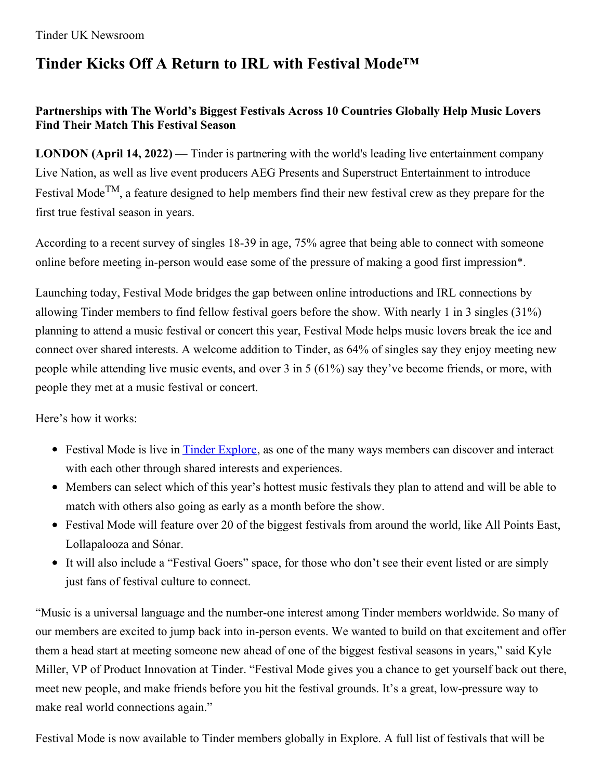# **Tinder Kicks Off A Return to IRL with Festival Mode™**

### **Partnerships with The World's Biggest Festivals Across 10 Countries Globally Help Music Lovers Find Their Match This Festival Season**

**LONDON (April 14, 2022)** — Tinder is partnering with the world's leading live entertainment company Live Nation, as well as live event producers AEG Presents and Superstruct Entertainment to introduce Festival Mode<sup>TM</sup>, a feature designed to help members find their new festival crew as they prepare for the first true festival season in years.

According to a recent survey of singles 18-39 in age, 75% agree that being able to connect with someone online before meeting in-person would ease some of the pressure of making a good first impression\*.

Launching today, Festival Mode bridges the gap between online introductions and IRL connections by allowing Tinder members to find fellow festival goers before the show. With nearly 1 in 3 singles (31%) planning to attend a music festival or concert this year, Festival Mode helps music lovers break the ice and connect over shared interests. A welcome addition to Tinder, as 64% of singles say they enjoy meeting new people while attending live music events, and over 3 in 5 (61%) say they've become friends, or more, with people they met at a music festival or concert.

Here's how it works:

- Festival Mode is live in **Tinder [Explore](https://uk.tinderpressroom.com/news?item=122517)**, as one of the many ways members can discover and interact with each other through shared interests and experiences.
- Members can select which of this year's hottest music festivals they plan to attend and will be able to match with others also going as early as a month before the show.
- Festival Mode will feature over 20 of the biggest festivals from around the world, like All Points East, Lollapalooza and Sónar.
- It will also include a "Festival Goers" space, for those who don't see their event listed or are simply just fans of festival culture to connect.

"Music is a universal language and the number-one interest among Tinder members worldwide. So many of our members are excited to jump back into in-person events. We wanted to build on that excitement and offer them a head start at meeting someone new ahead of one of the biggest festival seasons in years," said Kyle Miller, VP of Product Innovation at Tinder. "Festival Mode gives you a chance to get yourself back out there, meet new people, and make friends before you hit the festival grounds. It's a great, low-pressure way to make real world connections again."

Festival Mode is now available to Tinder members globally in Explore. A full list of festivals that will be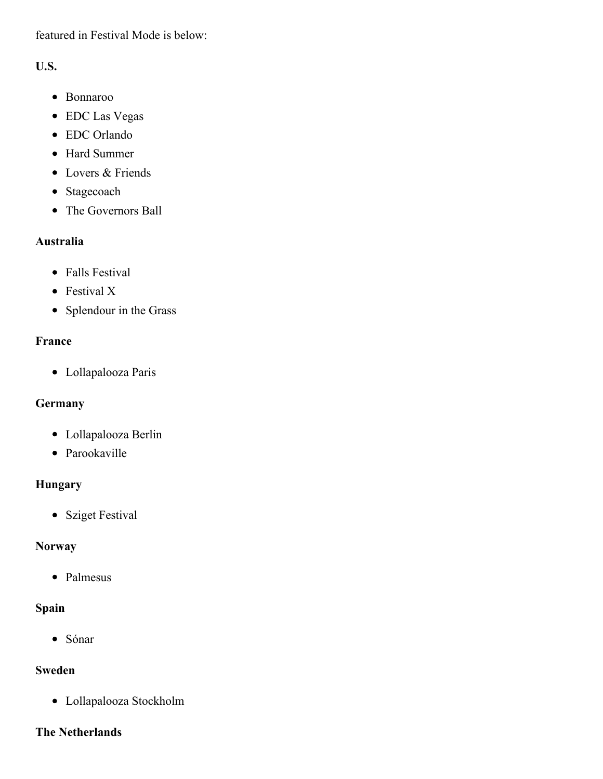featured in Festival Mode is below:

### **U.S.**

- Bonnaroo
- EDC Las Vegas
- EDC Orlando
- Hard Summer
- Lovers & Friends
- Stagecoach
- The Governors Ball

### **Australia**

- Falls Festival
- Festival X
- Splendour in the Grass

## **France**

Lollapalooza Paris

# **Germany**

- Lollapalooza Berlin
- Parookaville

# **Hungary**

• Sziget Festival

# **Norway**

• Palmesus

# **Spain**

Sónar

## **Sweden**

Lollapalooza Stockholm

### **The Netherlands**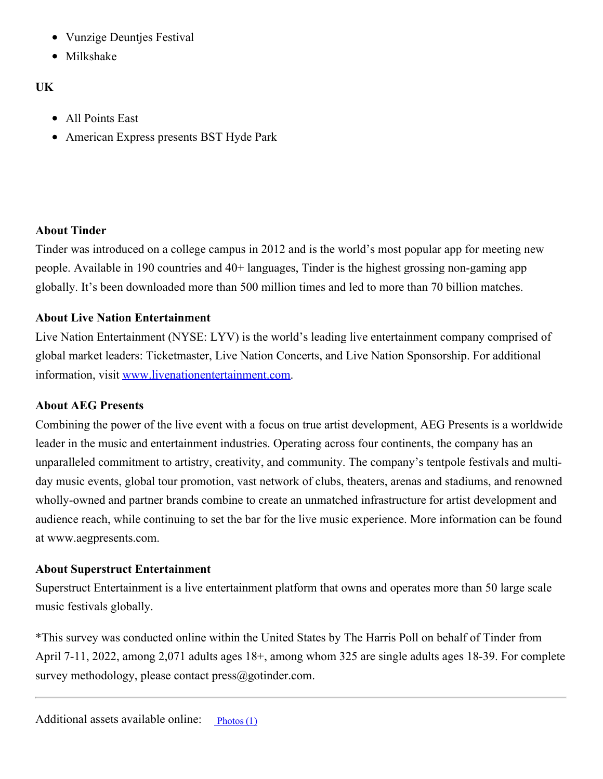- $\bullet$ Vunzige Deuntjes Festival
- Milkshake

### **UK**

- All Points East
- American Express presents BST Hyde Park

#### **About Tinder**

Tinder was introduced on a college campus in 2012 and is the world's most popular app for meeting new people. Available in 190 countries and 40+ languages, Tinder is the highest grossing non-gaming app globally. It's been downloaded more than 500 million times and led to more than 70 billion matches.

#### **About Live Nation Entertainment**

Live Nation Entertainment (NYSE: LYV) is the world's leading live entertainment company comprised of global market leaders: Ticketmaster, Live Nation Concerts, and Live Nation Sponsorship. For additional information, visit [www.livenationentertainment.com](http://www.livenationentertainment.com/).

#### **About AEG Presents**

Combining the power of the live event with a focus on true artist development, AEG Presents is a worldwide leader in the music and entertainment industries. Operating across four continents, the company has an unparalleled commitment to artistry, creativity, and community. The company's tentpole festivals and multiday music events, global tour promotion, vast network of clubs, theaters, arenas and stadiums, and renowned wholly-owned and partner brands combine to create an unmatched infrastructure for artist development and audience reach, while continuing to set the bar for the live music experience. More information can be found at www.aegpresents.com.

#### **About Superstruct Entertainment**

Superstruct Entertainment is a live entertainment platform that owns and operates more than 50 large scale music festivals globally.

\*This survey was conducted online within the United States by The Harris Poll on behalf of Tinder from April 7-11, 2022, among 2,071 adults ages 18+, among whom 325 are single adults ages 18-39. For complete survey methodology, please contact press@gotinder.com.